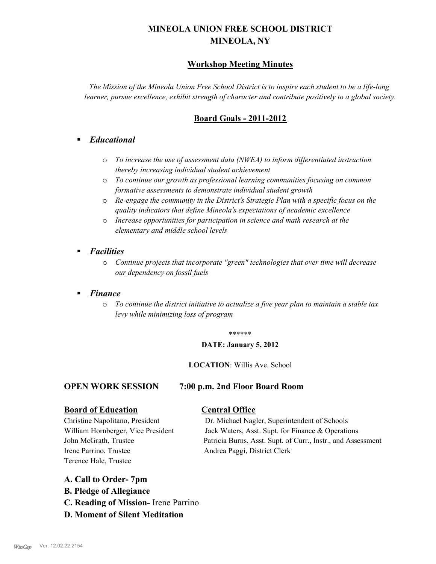# **MINEOLA UNION FREE SCHOOL DISTRICT MINEOLA, NY**

# **Workshop Meeting Minutes**

*The Mission of the Mineola Union Free School District is to inspire each student to be a life-long learner, pursue excellence, exhibit strength of character and contribute positively to a global society.*

# **Board Goals - 2011-2012**

# § *Educational*

- o *To increase the use of assessment data (NWEA) to inform differentiated instruction thereby increasing individual student achievement*
- o *To continue our growth as professional learning communities focusing on common formative assessments to demonstrate individual student growth*
- o *Re-engage the community in the District's Strategic Plan with a specific focus on the quality indicators that define Mineola's expectations of academic excellence*
- o *Increase opportunities for participation in science and math research at the elementary and middle school levels*
- *Facilities* 
	- o *Continue projects that incorporate "green" technologies that over time will decrease our dependency on fossil fuels*

# § *Finance*

o *To continue the district initiative to actualize a five year plan to maintain a stable tax levy while minimizing loss of program*

#### \*\*\*\*\*\*

#### **DATE: January 5, 2012**

#### **LOCATION**: Willis Ave. School

#### **OPEN WORK SESSION 7:00 p.m. 2nd Floor Board Room**

# **Board of Education Central Office**

Irene Parrino, Trustee Andrea Paggi, District Clerk Terence Hale, Trustee

Christine Napolitano, President Dr. Michael Nagler, Superintendent of Schools William Hornberger, Vice President Jack Waters, Asst. Supt. for Finance & Operations John McGrath, Trustee Patricia Burns, Asst. Supt. of Curr., Instr., and Assessment

#### **A. Call to Order- 7pm**

- **B. Pledge of Allegiance**
- **C. Reading of Mission-** Irene Parrino
- **D. Moment of Silent Meditation**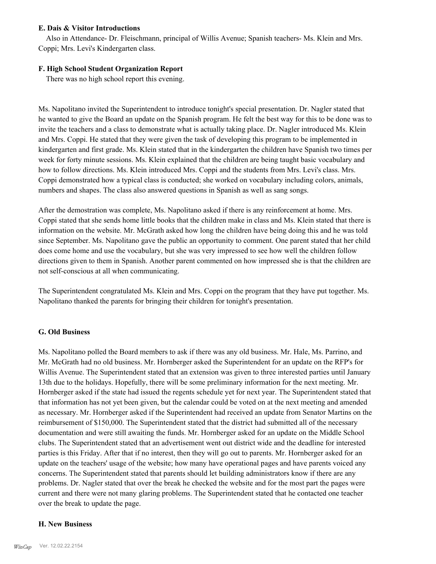#### **E. Dais & Visitor Introductions**

Also in Attendance- Dr. Fleischmann, principal of Willis Avenue; Spanish teachers- Ms. Klein and Mrs. Coppi; Mrs. Levi's Kindergarten class.

### **F. High School Student Organization Report**

There was no high school report this evening.

Ms. Napolitano invited the Superintendent to introduce tonight's special presentation. Dr. Nagler stated that he wanted to give the Board an update on the Spanish program. He felt the best way for this to be done was to invite the teachers and a class to demonstrate what is actually taking place. Dr. Nagler introduced Ms. Klein and Mrs. Coppi. He stated that they were given the task of developing this program to be implemented in kindergarten and first grade. Ms. Klein stated that in the kindergarten the children have Spanish two times per week for forty minute sessions. Ms. Klein explained that the children are being taught basic vocabulary and how to follow directions. Ms. Klein introduced Mrs. Coppi and the students from Mrs. Levi's class. Mrs. Coppi demonstrated how a typical class is conducted; she worked on vocabulary including colors, animals, numbers and shapes. The class also answered questions in Spanish as well as sang songs.

After the demostration was complete, Ms. Napolitano asked if there is any reinforcement at home. Mrs. Coppi stated that she sends home little books that the children make in class and Ms. Klein stated that there is information on the website. Mr. McGrath asked how long the children have being doing this and he was told since September. Ms. Napolitano gave the public an opportunity to comment. One parent stated that her child does come home and use the vocabulary, but she was very impressed to see how well the children follow directions given to them in Spanish. Another parent commented on how impressed she is that the children are not self-conscious at all when communicating.

The Superintendent congratulated Ms. Klein and Mrs. Coppi on the program that they have put together. Ms. Napolitano thanked the parents for bringing their children for tonight's presentation.

#### **G. Old Business**

Ms. Napolitano polled the Board members to ask if there was any old business. Mr. Hale, Ms. Parrino, and Mr. McGrath had no old business. Mr. Hornberger asked the Superintendent for an update on the RFP's for Willis Avenue. The Superintendent stated that an extension was given to three interested parties until January 13th due to the holidays. Hopefully, there will be some preliminary information for the next meeting. Mr. Hornberger asked if the state had issued the regents schedule yet for next year. The Superintendent stated that that information has not yet been given, but the calendar could be voted on at the next meeting and amended as necessary. Mr. Hornberger asked if the Superintendent had received an update from Senator Martins on the reimbursement of \$150,000. The Superintendent stated that the district had submitted all of the necessary documentation and were still awaiting the funds. Mr. Hornberger asked for an update on the Middle School clubs. The Superintendent stated that an advertisement went out district wide and the deadline for interested parties is this Friday. After that if no interest, then they will go out to parents. Mr. Hornberger asked for an update on the teachers' usage of the website; how many have operational pages and have parents voiced any concerns. The Superintendent stated that parents should let building administrators know if there are any problems. Dr. Nagler stated that over the break he checked the website and for the most part the pages were current and there were not many glaring problems. The Superintendent stated that he contacted one teacher over the break to update the page.

#### **H. New Business**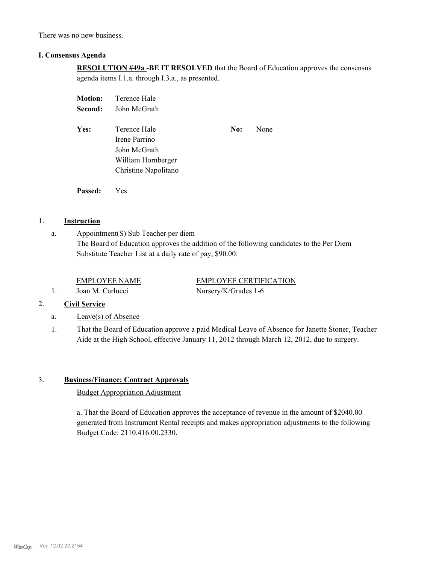There was no new business.

#### **I. Consensus Agenda**

**RESOLUTION #49a -BE IT RESOLVED** that the Board of Education approves the consensus agenda items I.1.a. through I.3.a., as presented.

| <b>Motion:</b> | Terence Hale         |     |      |
|----------------|----------------------|-----|------|
| Second:        | John McGrath         |     |      |
| Yes:           | Terence Hale         | No: | None |
|                | Irene Parrino        |     |      |
|                | John McGrath         |     |      |
|                | William Hornberger   |     |      |
|                | Christine Napolitano |     |      |
|                |                      |     |      |
|                |                      |     |      |

# 1. **Instruction**

a.

# Appointment(S) Sub Teacher per diem

The Board of Education approves the addition of the following candidates to the Per Diem Substitute Teacher List at a daily rate of pay, \$90.00:

1. Joan M. Carlucci Nursery/K/Grades 1-6

**Passed:** Yes

EMPLOYEE NAME EMPLOYEE CERTIFICATION

#### 2. **Civil Service**

- a. Leave(s) of Absence
- That the Board of Education approve a paid Medical Leave of Absence for Janette Stoner, Teacher Aide at the High School, effective January 11, 2012 through March 12, 2012, due to surgery. 1.

### 3. **Business/Finance: Contract Approvals**

## Budget Appropriation Adjustment

a. That the Board of Education approves the acceptance of revenue in the amount of \$2040.00 generated from Instrument Rental receipts and makes appropriation adjustments to the following Budget Code: 2110.416.00.2330.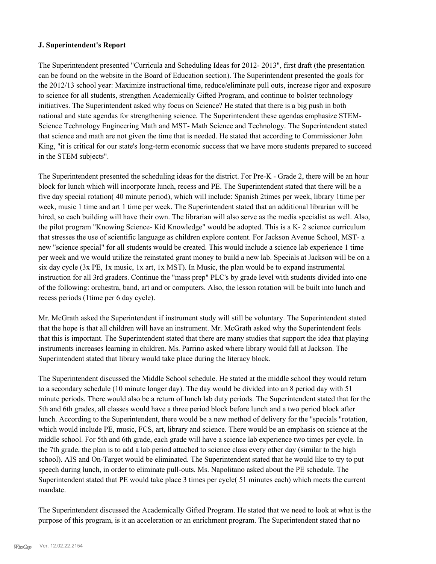#### **J. Superintendent's Report**

The Superintendent presented "Curricula and Scheduling Ideas for 2012- 2013", first draft (the presentation can be found on the website in the Board of Education section). The Superintendent presented the goals for the 2012/13 school year: Maximize instructional time, reduce/eliminate pull outs, increase rigor and exposure to science for all students, strengthen Academically Gifted Program, and continue to bolster technology initiatives. The Superintendent asked why focus on Science? He stated that there is a big push in both national and state agendas for strengthening science. The Superintendent these agendas emphasize STEM-Science Technology Engineering Math and MST- Math Science and Technology. The Superintendent stated that science and math are not given the time that is needed. He stated that according to Commissioner John King, "it is critical for our state's long-term economic success that we have more students prepared to succeed in the STEM subjects".

The Superintendent presented the scheduling ideas for the district. For Pre-K - Grade 2, there will be an hour block for lunch which will incorporate lunch, recess and PE. The Superintendent stated that there will be a five day special rotation( 40 minute period), which will include: Spanish 2times per week, library 1time per week, music 1 time and art 1 time per week. The Superintendent stated that an additional librarian will be hired, so each building will have their own. The librarian will also serve as the media specialist as well. Also, the pilot program "Knowing Science- Kid Knowledge" would be adopted. This is a K- 2 science curriculum that stresses the use of scientific language as children explore content. For Jackson Avenue School, MST- a new "science special" for all students would be created. This would include a science lab experience 1 time per week and we would utilize the reinstated grant money to build a new lab. Specials at Jackson will be on a six day cycle (3x PE, 1x music, 1x art, 1x MST). In Music, the plan would be to expand instrumental instruction for all 3rd graders. Continue the "mass prep" PLC's by grade level with students divided into one of the following: orchestra, band, art and or computers. Also, the lesson rotation will be built into lunch and recess periods (1time per 6 day cycle).

Mr. McGrath asked the Superintendent if instrument study will still be voluntary. The Superintendent stated that the hope is that all children will have an instrument. Mr. McGrath asked why the Superintendent feels that this is important. The Superintendent stated that there are many studies that support the idea that playing instruments increases learning in children. Ms. Parrino asked where library would fall at Jackson. The Superintendent stated that library would take place during the literacy block.

The Superintendent discussed the Middle School schedule. He stated at the middle school they would return to a secondary schedule (10 minute longer day). The day would be divided into an 8 period day with 51 minute periods. There would also be a return of lunch lab duty periods. The Superintendent stated that for the 5th and 6th grades, all classes would have a three period block before lunch and a two period block after lunch. According to the Superintendent, there would be a new method of delivery for the "specials "rotation, which would include PE, music, FCS, art, library and science. There would be an emphasis on science at the middle school. For 5th and 6th grade, each grade will have a science lab experience two times per cycle. In the 7th grade, the plan is to add a lab period attached to science class every other day (similar to the high school). AIS and On-Target would be eliminated. The Superintendent stated that he would like to try to put speech during lunch, in order to eliminate pull-outs. Ms. Napolitano asked about the PE schedule. The Superintendent stated that PE would take place 3 times per cycle( 51 minutes each) which meets the current mandate.

The Superintendent discussed the Academically Gifted Program. He stated that we need to look at what is the purpose of this program, is it an acceleration or an enrichment program. The Superintendent stated that no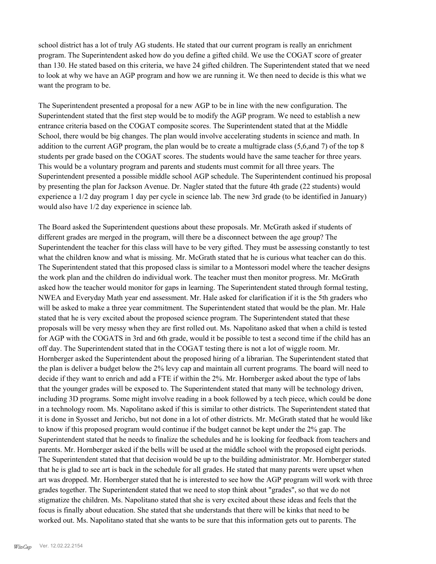school district has a lot of truly AG students. He stated that our current program is really an enrichment program. The Superintendent asked how do you define a gifted child. We use the COGAT score of greater than 130. He stated based on this criteria, we have 24 gifted children. The Superintendent stated that we need to look at why we have an AGP program and how we are running it. We then need to decide is this what we want the program to be.

The Superintendent presented a proposal for a new AGP to be in line with the new configuration. The Superintendent stated that the first step would be to modify the AGP program. We need to establish a new entrance criteria based on the COGAT composite scores. The Superintendent stated that at the Middle School, there would be big changes. The plan would involve accelerating students in science and math. In addition to the current AGP program, the plan would be to create a multigrade class (5,6,and 7) of the top 8 students per grade based on the COGAT scores. The students would have the same teacher for three years. This would be a voluntary program and parents and students must commit for all three years. The Superintendent presented a possible middle school AGP schedule. The Superintendent continued his proposal by presenting the plan for Jackson Avenue. Dr. Nagler stated that the future 4th grade (22 students) would experience a 1/2 day program 1 day per cycle in science lab. The new 3rd grade (to be identified in January) would also have 1/2 day experience in science lab.

The Board asked the Superintendent questions about these proposals. Mr. McGrath asked if students of different grades are merged in the program, will there be a disconnect between the age group? The Superintendent the teacher for this class will have to be very gifted. They must be assessing constantly to test what the children know and what is missing. Mr. McGrath stated that he is curious what teacher can do this. The Superintendent stated that this proposed class is similar to a Montessori model where the teacher designs the work plan and the children do individual work. The teacher must then monitor progress. Mr. McGrath asked how the teacher would monitor for gaps in learning. The Superintendent stated through formal testing, NWEA and Everyday Math year end assessment. Mr. Hale asked for clarification if it is the 5th graders who will be asked to make a three year commitment. The Superintendent stated that would be the plan. Mr. Hale stated that he is very excited about the proposed science program. The Superintendent stated that these proposals will be very messy when they are first rolled out. Ms. Napolitano asked that when a child is tested for AGP with the COGATS in 3rd and 6th grade, would it be possible to test a second time if the child has an off day. The Superintendent stated that in the COGAT testing there is not a lot of wiggle room. Mr. Hornberger asked the Superintendent about the proposed hiring of a librarian. The Superintendent stated that the plan is deliver a budget below the 2% levy cap and maintain all current programs. The board will need to decide if they want to enrich and add a FTE if within the 2%. Mr. Hornberger asked about the type of labs that the younger grades will be exposed to. The Superintendent stated that many will be technology driven, including 3D programs. Some might involve reading in a book followed by a tech piece, which could be done in a technology room. Ms. Napolitano asked if this is similar to other districts. The Superintendent stated that it is done in Syosset and Jericho, but not done in a lot of other districts. Mr. McGrath stated that he would like to know if this proposed program would continue if the budget cannot be kept under the 2% gap. The Superintendent stated that he needs to finalize the schedules and he is looking for feedback from teachers and parents. Mr. Hornberger asked if the bells will be used at the middle school with the proposed eight periods. The Superintendent stated that that decision would be up to the building administrator. Mr. Hornberger stated that he is glad to see art is back in the schedule for all grades. He stated that many parents were upset when art was dropped. Mr. Hornberger stated that he is interested to see how the AGP program will work with three grades together. The Superintendent stated that we need to stop think about "grades", so that we do not stigmatize the children. Ms. Napolitano stated that she is very excited about these ideas and feels that the focus is finally about education. She stated that she understands that there will be kinks that need to be worked out. Ms. Napolitano stated that she wants to be sure that this information gets out to parents. The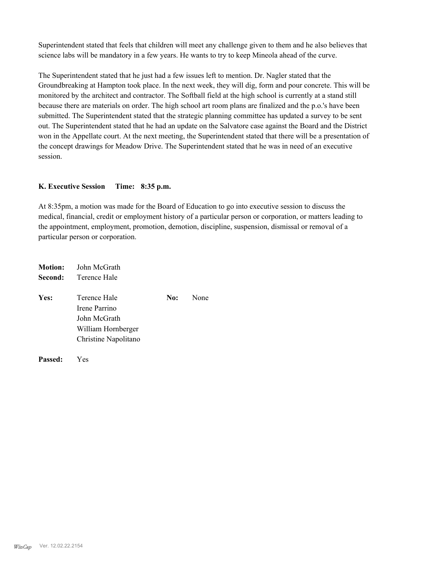Superintendent stated that feels that children will meet any challenge given to them and he also believes that science labs will be mandatory in a few years. He wants to try to keep Mineola ahead of the curve.

The Superintendent stated that he just had a few issues left to mention. Dr. Nagler stated that the Groundbreaking at Hampton took place. In the next week, they will dig, form and pour concrete. This will be monitored by the architect and contractor. The Softball field at the high school is currently at a stand still because there are materials on order. The high school art room plans are finalized and the p.o.'s have been submitted. The Superintendent stated that the strategic planning committee has updated a survey to be sent out. The Superintendent stated that he had an update on the Salvatore case against the Board and the District won in the Appellate court. At the next meeting, the Superintendent stated that there will be a presentation of the concept drawings for Meadow Drive. The Superintendent stated that he was in need of an executive session.

#### **K. Executive Session Time: 8:35 p.m.**

At 8:35pm, a motion was made for the Board of Education to go into executive session to discuss the medical, financial, credit or employment history of a particular person or corporation, or matters leading to the appointment, employment, promotion, demotion, discipline, suspension, dismissal or removal of a particular person or corporation.

|         | <b>Motion:</b> John McGrath |     |      |
|---------|-----------------------------|-----|------|
| Second: | Terence Hale                |     |      |
| Yes:    | Terence Hale                | No: | None |
|         | Irene Parrino               |     |      |
|         | John McGrath                |     |      |
|         | William Hornberger          |     |      |
|         | Christine Napolitano        |     |      |
|         |                             |     |      |
|         |                             |     |      |

**Passed:** Yes